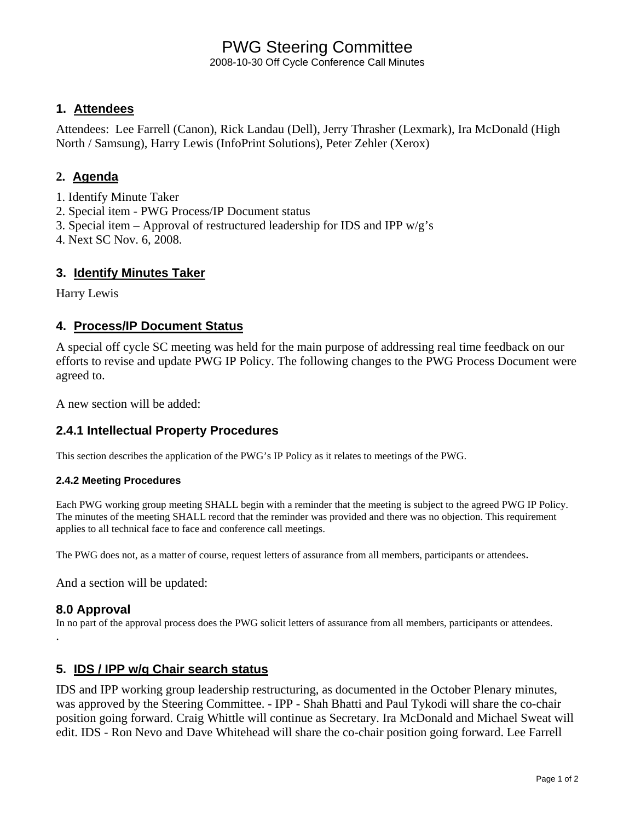# PWG Steering Committee

2008-10-30 Off Cycle Conference Call Minutes

# **1. Attendees**

Attendees: Lee Farrell (Canon), Rick Landau (Dell), Jerry Thrasher (Lexmark), Ira McDonald (High North / Samsung), Harry Lewis (InfoPrint Solutions), Peter Zehler (Xerox)

# **2. Agenda**

- 1. Identify Minute Taker
- 2. Special item PWG Process/IP Document status
- 3. Special item Approval of restructured leadership for IDS and IPP  $w/g's$
- 4. Next SC Nov. 6, 2008.

## **3. Identify Minutes Taker**

Harry Lewis

## **4. Process/IP Document Status**

A special off cycle SC meeting was held for the main purpose of addressing real time feedback on our efforts to revise and update PWG IP Policy. The following changes to the PWG Process Document were agreed to.

A new section will be added:

# **2.4.1 Intellectual Property Procedures**

This section describes the application of the PWG's IP Policy as it relates to meetings of the PWG.

### **2.4.2 Meeting Procedures**

Each PWG working group meeting SHALL begin with a reminder that the meeting is subject to the agreed PWG IP Policy. The minutes of the meeting SHALL record that the reminder was provided and there was no objection. This requirement applies to all technical face to face and conference call meetings.

The PWG does not, as a matter of course, request letters of assurance from all members, participants or attendees.

And a section will be updated:

.

**8.0 Approval**<br>In no part of the approval process does the PWG solicit letters of assurance from all members, participants or attendees.

# **5. IDS / IPP w/g Chair search status**

IDS and IPP working group leadership restructuring, as documented in the October Plenary minutes, was approved by the Steering Committee. - IPP - Shah Bhatti and Paul Tykodi will share the co-chair position going forward. Craig Whittle will continue as Secretary. Ira McDonald and Michael Sweat will edit. IDS - Ron Nevo and Dave Whitehead will share the co-chair position going forward. Lee Farrell